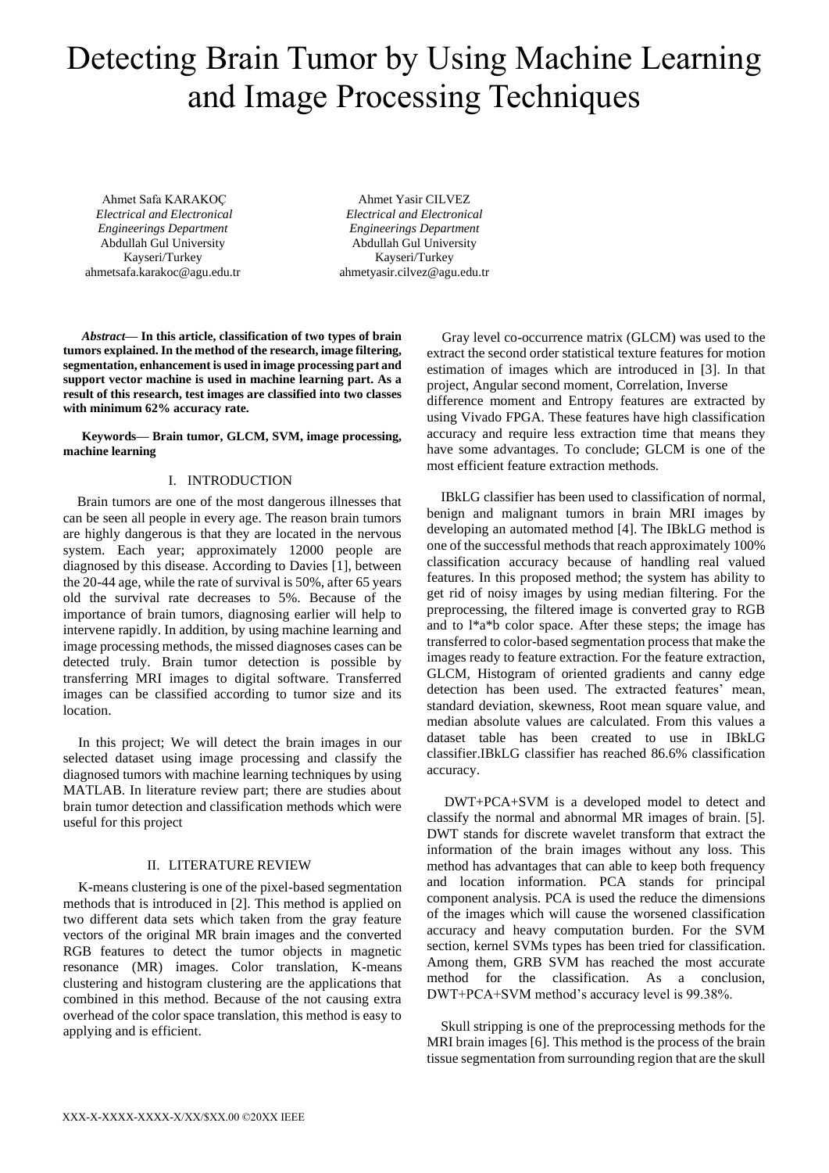# Detecting Brain Tumor by Using Machine Learning and Image Processing Techniques

Ahmet Safa KARAKOÇ *Electrical and Electronical Engineerings Department* Abdullah Gul University Kayseri/Turkey ahmetsafa.karakoc@agu.edu.tr

Ahmet Yasir CILVEZ *Electrical and Electronical Engineerings Department* Abdullah Gul University Kayseri/Turkey ahmetyasir.cilvez@agu.edu.tr

*Abstract***— In this article, classification of two types of brain tumors explained. In the method of the research, image filtering, segmentation, enhancement is used in image processing part and support vector machine is used in machine learning part. As a result of this research, test images are classified into two classes with minimum 62% accuracy rate.** 

**Keywords— Brain tumor, GLCM, SVM, image processing, machine learning**

# I. INTRODUCTION

 Brain tumors are one of the most dangerous illnesses that can be seen all people in every age. The reason brain tumors are highly dangerous is that they are located in the nervous system. Each year; approximately 12000 people are diagnosed by this disease. According to Davies [1], between the 20-44 age, while the rate of survival is 50%, after 65 years old the survival rate decreases to 5%. Because of the importance of brain tumors, diagnosing earlier will help to intervene rapidly. In addition, by using machine learning and image processing methods, the missed diagnoses cases can be detected truly. Brain tumor detection is possible by transferring MRI images to digital software. Transferred images can be classified according to tumor size and its location.

In this project; We will detect the brain images in our selected dataset using image processing and classify the diagnosed tumors with machine learning techniques by using MATLAB. In literature review part; there are studies about brain tumor detection and classification methods which were useful for this project

# II. LITERATURE REVIEW

K-means clustering is one of the pixel-based segmentation methods that is introduced in [2]. This method is applied on two different data sets which taken from the gray feature vectors of the original MR brain images and the converted RGB features to detect the tumor objects in magnetic resonance (MR) images. Color translation, K-means clustering and histogram clustering are the applications that combined in this method. Because of the not causing extra overhead of the color space translation, this method is easy to applying and is efficient.

Gray level co-occurrence matrix (GLCM) was used to the extract the second order statistical texture features for motion estimation of images which are introduced in [3]. In that project, Angular second moment, Correlation, Inverse difference moment and Entropy features are extracted by using Vivado FPGA. These features have high classification accuracy and require less extraction time that means they have some advantages. To conclude; GLCM is one of the most efficient feature extraction methods.

 IBkLG classifier has been used to classification of normal, benign and malignant tumors in brain MRI images by developing an automated method [4]. The IBkLG method is one of the successful methods that reach approximately 100% classification accuracy because of handling real valued features. In this proposed method; the system has ability to get rid of noisy images by using median filtering. For the preprocessing, the filtered image is converted gray to RGB and to l\*a\*b color space. After these steps; the image has transferred to color-based segmentation process that make the images ready to feature extraction. For the feature extraction, GLCM, Histogram of oriented gradients and canny edge detection has been used. The extracted features' mean, standard deviation, skewness, Root mean square value, and median absolute values are calculated. From this values a dataset table has been created to use in IBkLG classifier.IBkLG classifier has reached 86.6% classification accuracy.

 DWT+PCA+SVM is a developed model to detect and classify the normal and abnormal MR images of brain. [5]. DWT stands for discrete wavelet transform that extract the information of the brain images without any loss. This method has advantages that can able to keep both frequency and location information. PCA stands for principal component analysis. PCA is used the reduce the dimensions of the images which will cause the worsened classification accuracy and heavy computation burden. For the SVM section, kernel SVMs types has been tried for classification. Among them, GRB SVM has reached the most accurate method for the classification. As a conclusion, DWT+PCA+SVM method's accuracy level is 99.38%.

 Skull stripping is one of the preprocessing methods for the MRI brain images [6]. This method is the process of the brain tissue segmentation from surrounding region that are the skull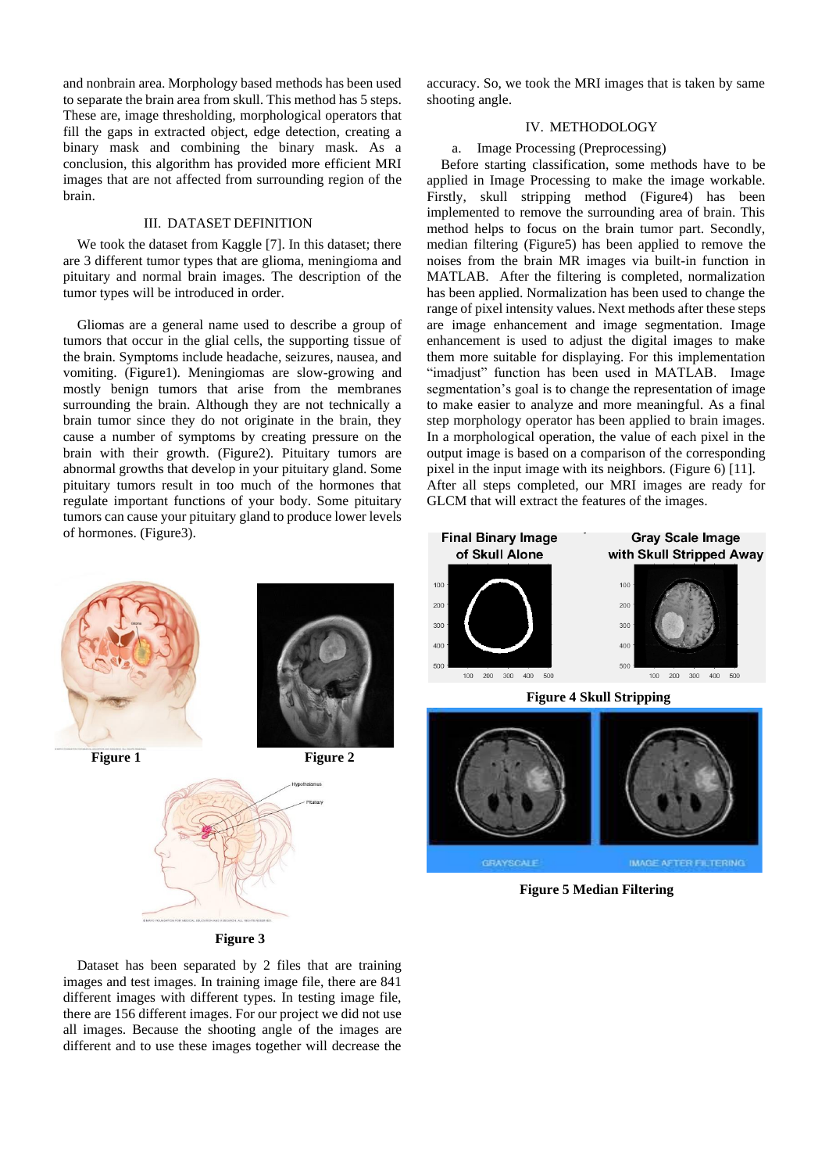and nonbrain area. Morphology based methods has been used to separate the brain area from skull. This method has 5 steps. These are, image thresholding, morphological operators that fill the gaps in extracted object, edge detection, creating a binary mask and combining the binary mask. As a conclusion, this algorithm has provided more efficient MRI images that are not affected from surrounding region of the brain.

## III. DATASET DEFINITION

 We took the dataset from Kaggle [7]. In this dataset; there are 3 different tumor types that are glioma, meningioma and pituitary and normal brain images. The description of the tumor types will be introduced in order.

 Gliomas are a general name used to describe a group of tumors that occur in the glial cells, the supporting tissue of the brain. Symptoms include headache, seizures, nausea, and vomiting. (Figure1). Meningiomas are slow-growing and mostly benign tumors that arise from the membranes surrounding the brain. Although they are not technically a brain tumor since they do not originate in the brain, they cause a number of symptoms by creating pressure on the brain with their growth. (Figure2). Pituitary tumors are abnormal growths that develop in your pituitary gland. Some pituitary tumors result in too much of the hormones that regulate important functions of your body. Some pituitary tumors can cause your pituitary gland to produce lower levels of hormones. (Figure3).

accuracy. So, we took the MRI images that is taken by same shooting angle.

# IV. METHODOLOGY

#### a. Image Processing (Preprocessing)

 Before starting classification, some methods have to be applied in Image Processing to make the image workable. Firstly, skull stripping method (Figure4) has been implemented to remove the surrounding area of brain. This method helps to focus on the brain tumor part. Secondly, median filtering (Figure5) has been applied to remove the noises from the brain MR images via built-in function in MATLAB. After the filtering is completed, normalization has been applied. Normalization has been used to change the range of pixel intensity values. Next methods after these steps are image enhancement and image segmentation. Image enhancement is used to adjust the digital images to make them more suitable for displaying. For this implementation "imadjust" function has been used in MATLAB. Image segmentation's goal is to change the representation of image to make easier to analyze and more meaningful. As a final step morphology operator has been applied to brain images. In a morphological operation, the value of each pixel in the output image is based on a comparison of the corresponding pixel in the input image with its neighbors. (Figure 6) [11]. After all steps completed, our MRI images are ready for GLCM that will extract the features of the images.





**Figure 5 Median Filtering**

**Figure 3**

 Dataset has been separated by 2 files that are training images and test images. In training image file, there are 841 different images with different types. In testing image file, there are 156 different images. For our project we did not use all images. Because the shooting angle of the images are different and to use these images together will decrease the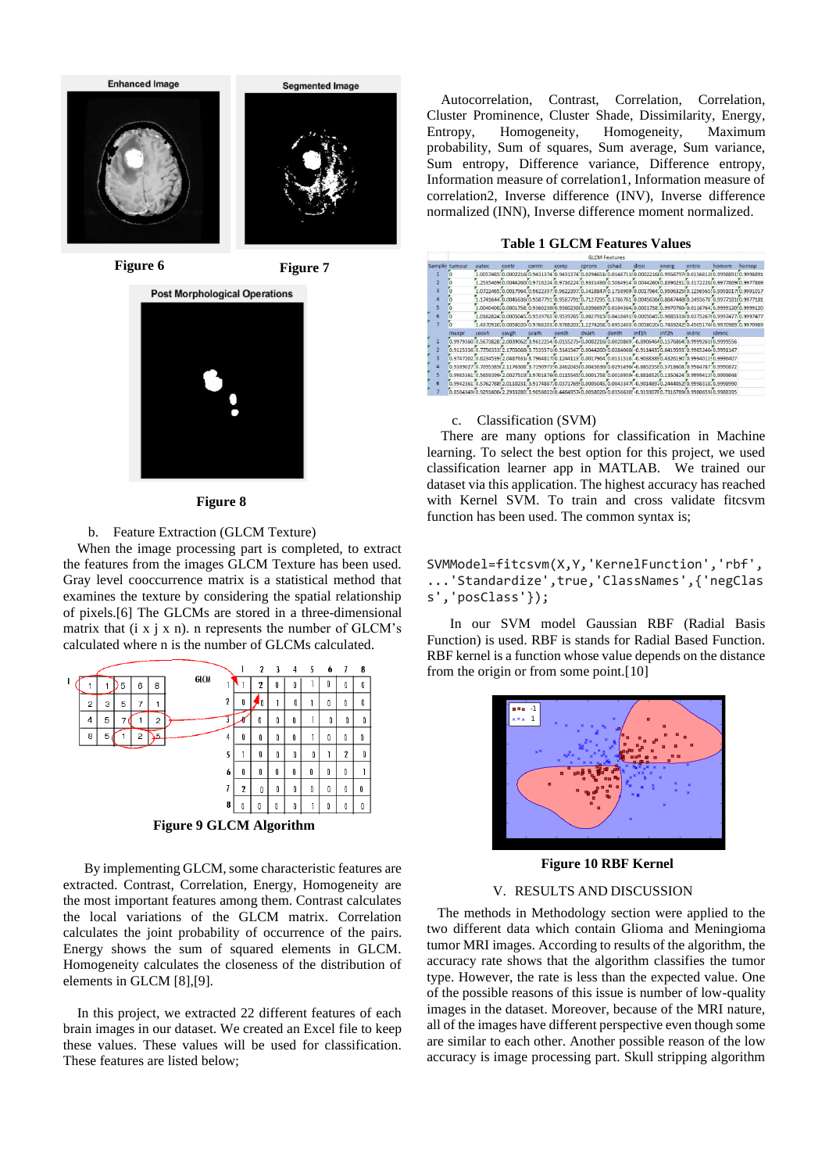



#### **Figure 8**

## b. Feature Extraction (GLCM Texture)

 When the image processing part is completed, to extract the features from the images GLCM Texture has been used. Gray level cooccurrence matrix is a statistical method that examines the texture by considering the spatial relationship of pixels.[6] The GLCMs are stored in a three-dimensional matrix that  $(i \times j \times n)$ . n represents the number of GLCM's calculated where n is the number of GLCMs calculated.



**Figure 9 GLCM Algorithm**

 By implementing GLCM, some characteristic features are extracted. Contrast, Correlation, Energy, Homogeneity are the most important features among them. Contrast calculates the local variations of the GLCM matrix. Correlation calculates the joint probability of occurrence of the pairs. Energy shows the sum of squared elements in GLCM. Homogeneity calculates the closeness of the distribution of elements in GLCM [8],[9].

 In this project, we extracted 22 different features of each brain images in our dataset. We created an Excel file to keep these values. These values will be used for classification. These features are listed below;

 Autocorrelation, Contrast, Correlation, Correlation, Cluster Prominence, Cluster Shade, Dissimilarity, Energy, Entropy, Homogeneity, Homogeneity, Maximum probability, Sum of squares, Sum average, Sum variance, Sum entropy, Difference variance, Difference entropy, Information measure of correlation1, Information measure of correlation2, Inverse difference (INV), Inverse difference normalized (INN), Inverse difference moment normalized.

# **Table 1 GLCM Features Values**

|               | GLCM Features         |                    |                                                                                                               |             |              |                              |       |       |                                                                                 |       |                             |       |
|---------------|-----------------------|--------------------|---------------------------------------------------------------------------------------------------------------|-------------|--------------|------------------------------|-------|-------|---------------------------------------------------------------------------------|-------|-----------------------------|-------|
| Sample tumour |                       | autoc              | contr                                                                                                         | corrm       | <b>COFFD</b> | corom                        | cshad | dissi | energ                                                                           | entro | homom                       | homop |
|               |                       |                    | 1.0057485:0.0002216(0.9431374                                                                                 |             |              | 0.0294651/0.01487            |       |       | 0.995879                                                                        |       | 0156812(0.999889110.9998891 |       |
|               |                       |                    | 1.2535469(0.0044260(0.9716224)0.9716224)0.9331436(0.5064914)0.0044260(0.8396231)0.3172226(0.9977869(0.9977869 |             |              |                              |       |       |                                                                                 |       |                             |       |
|               |                       |                    | 1.072246510.001796410.9622397                                                                                 |             |              |                              |       |       | 0.962239710.3418847(0.175890910.001796410.9506325(0.125656510.999101710.9991017 |       |                             |       |
|               |                       |                    | 1.174164410.0045636(0.958779110.958779110.712729510.378676110.0045636(0.8847448(0.249367810.9977181(0.9977181 |             |              |                              |       |       |                                                                                 |       |                             |       |
|               |                       |                    | .004040010.000175810.9360230{0.9360230{0.0206697}0.010436410.000175810.9970760{0.011676410.9999120{0.9999120  |             |              |                              |       |       |                                                                                 |       |                             |       |
|               |                       |                    | 1.016282410.000504510.9539765                                                                                 |             | 0.9539765    | 0.0827915                    |       |       | 0.041869150.000504510.988533340                                                 |       |                             |       |
|               | ō                     |                    | 1.4370910.005802040.9768203.00768203.1.2274268.0.6952403.005802040.743924250.45051740.9970989.0.9970989       |             |              |                              |       |       |                                                                                 |       |                             |       |
|               | maxpr                 | sosvh              | savgh                                                                                                         | svarh       | senth        | dvarh                        | denth | inf1h | inf <sub>2h</sub>                                                               | indnc | <i>idmnc</i>                |       |
|               | 0.9979360             | CADREDD C'25732.00 |                                                                                                               | 3 961225410 |              | 015527540.000221680.0020869  |       |       | -0.89064640.157686410.9999261(0.9999556                                         |       |                             |       |
|               |                       |                    |                                                                                                               |             |              | 3141547 0.0044260(0.02840660 |       |       | -0.91144320.641959310.998524640.9991147                                         |       |                             |       |
|               |                       |                    | 0.974720200.623453952.048763143.796481750.124411310.001796410.01315161.0.90383850.432619010.999401150.9996407 |             |              |                              |       |       |                                                                                 |       |                             |       |
| 4             |                       |                    | 0.9389027;0.7095385(2.1176308)3.7190973(0.2462045(0.0045636(0.0291496(-0.88523580.5718608)0.9984787(0.9990872 |             |              |                              |       |       |                                                                                 |       |                             |       |
| 5             | 0.998536110.5659399   |                    |                                                                                                               |             |              |                              |       |       | 88165250.135062410                                                              |       | 999941310.9999648           |       |
| 6             | 0.994236110.576278892 |                    |                                                                                                               |             |              | 037176950.000504510.00433470 |       |       | -0.90148970.24405250                                                            |       |                             |       |
|               |                       |                    | 0.8504349(0.9291600(2.2933280(3.9056022(0.4464957(0.0058020(0.0356630(-0.91930780,7316789(0.9980659(0.9988395 |             |              |                              |       |       |                                                                                 |       |                             |       |

#### c. Classification (SVM)

 There are many options for classification in Machine learning. To select the best option for this project, we used classification learner app in MATLAB. We trained our dataset via this application. The highest accuracy has reached with Kernel SVM. To train and cross validate fitcsvm function has been used. The common syntax is;

# SVMModel=fitcsvm(X,Y,'KernelFunction','rbf', ...'Standardize',true,'ClassNames',{'negClas s','posClass'});

 In our SVM model Gaussian RBF (Radial Basis Function) is used. RBF is stands for Radial Based Function. RBF kernel is a function whose value depends on the distance from the origin or from some point.[10]



 **Figure 10 RBF Kernel**

# V. RESULTS AND DISCUSSION

 The methods in Methodology section were applied to the two different data which contain Glioma and Meningioma tumor MRI images. According to results of the algorithm, the accuracy rate shows that the algorithm classifies the tumor type. However, the rate is less than the expected value. One of the possible reasons of this issue is number of low-quality images in the dataset. Moreover, because of the MRI nature, all of the images have different perspective even though some are similar to each other. Another possible reason of the low accuracy is image processing part. Skull stripping algorithm